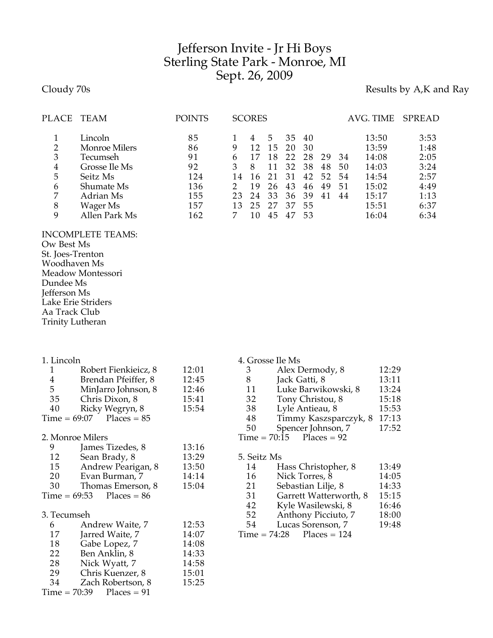## Jefferson Invite - Jr Hi Boys Sterling State Park - Monroe, MI Sept. 26, 2009

## Cloudy 70s **Results by A,K and Ray**

| PLACE          | TEAM                 | POINTS |    | <b>SCORES</b> |    |    |    |    |     | AVG. TIME | <b>SPREAD</b> |
|----------------|----------------------|--------|----|---------------|----|----|----|----|-----|-----------|---------------|
|                | Lincoln              | 85     |    |               | 5  | 35 | 40 |    |     | 13:50     | 3:53          |
| 2              | <b>Monroe Milers</b> | 86     | 9  |               | 15 | 20 | 30 |    |     | 13:59     | 1:48          |
| 3              | Tecumseh             | 91     | h  |               | 18 | 22 | 28 | 29 | -34 | 14:08     | 2:05          |
| $\overline{4}$ | Grosse Ile Ms        | 92     |    |               |    | 32 | 38 | 48 | 50  | 14:03     | 3:24          |
| 5              | Seitz Ms             | 124    |    | 16            |    | 31 | 42 | 52 | 54  | 14:54     | 2:57          |
| 6              | Shumate Ms           | 136    |    | 19            | 26 | 43 | 46 | 49 | 51  | 15:02     | 4:49          |
| 7              | Adrian Ms            | 155    | 23 | 24            | 33 | 36 | 39 | 41 | 44  | 15:17     | 1:13          |
| 8              | Wager Ms             | 157    |    | 25            | 27 | 37 | 55 |    |     | 15:51     | 6:37          |
| 9              | Allen Park Ms        | 162    |    | 10            |    | 47 | 53 |    |     | 16:04     | 6:34          |

## INCOMPLETE TEAMS:

Ow Best Ms St. Joes-Trenton Woodhaven Ms Meadow Montessori Dundee Ms Jefferson Ms Lake Erie Striders Aa Track Club Trinity Lutheran

| 1. Lincoln                      |                              |       | 4. Grosse Ile Ms |                             |       |  |  |  |
|---------------------------------|------------------------------|-------|------------------|-----------------------------|-------|--|--|--|
| 1                               | Robert Fienkieicz, 8         | 12:01 | 3                | Alex Dermody, 8             | 12:29 |  |  |  |
| $\frac{4}{5}$                   | Brendan Pfeiffer, 8          | 12:45 | 8                | Jack Gatti, 8               | 13:11 |  |  |  |
|                                 | MinJarro Johnson, 8          | 12:46 | 11               | Luke Barwikowski, 8         | 13:24 |  |  |  |
| 35                              | Chris Dixon, 8               | 15:41 | 32               | Tony Christou, 8            | 15:18 |  |  |  |
| 40                              | Ricky Wegryn, 8              | 15:54 | 38               | Lyle Antieau, 8             | 15:53 |  |  |  |
|                                 | $Time = 69:07$ Places = $85$ |       | 48               | Timmy Kaszsparczyk, 8       | 17:13 |  |  |  |
|                                 |                              |       | 50               | Spencer Johnson, 7          | 17:52 |  |  |  |
|                                 | 2. Monroe Milers             |       |                  | $Time = 70:15$ Places = 92  |       |  |  |  |
| 9                               | James Tizedes, 8             | 13:16 |                  |                             |       |  |  |  |
| 12                              | Sean Brady, 8                | 13:29 | 5. Seitz Ms      |                             |       |  |  |  |
| 15                              | Andrew Pearigan, 8           | 13:50 | 14               | Hass Christopher, 8         | 13:49 |  |  |  |
| 20                              | Evan Burman, 7               | 14:14 | 16               | Nick Torres, 8              | 14:05 |  |  |  |
| 30                              | Thomas Emerson, 8            | 15:04 | 21               | Sebastian Lilje, 8          | 14:33 |  |  |  |
| $Time = 69:53$<br>$Places = 86$ |                              |       | 31               | Garrett Watterworth, 8      | 15:15 |  |  |  |
|                                 |                              |       | 42               | Kyle Wasilewski, 8          | 16:46 |  |  |  |
| 3. Tecumseh                     |                              |       | 52               | Anthony Picciuto, 7         | 18:00 |  |  |  |
| 6                               | Andrew Waite, 7              | 12:53 | 54               | Lucas Sorenson, 7           | 19:48 |  |  |  |
| 17                              | Jarred Waite, 7              | 14:07 |                  | $Time = 74:28$ Places = 124 |       |  |  |  |
| 18                              | Gabe Lopez, 7                | 14:08 |                  |                             |       |  |  |  |
| 22                              | Ben Anklin, 8                | 14:33 |                  |                             |       |  |  |  |
| 28                              | Nick Wyatt, 7                | 14:58 |                  |                             |       |  |  |  |
| 29                              | Chris Kuenzer, 8             | 15:01 |                  |                             |       |  |  |  |
| 34                              | Zach Robertson, 8            | 15:25 |                  |                             |       |  |  |  |
| $Places = 91$<br>Time = 70:39   |                              |       |                  |                             |       |  |  |  |